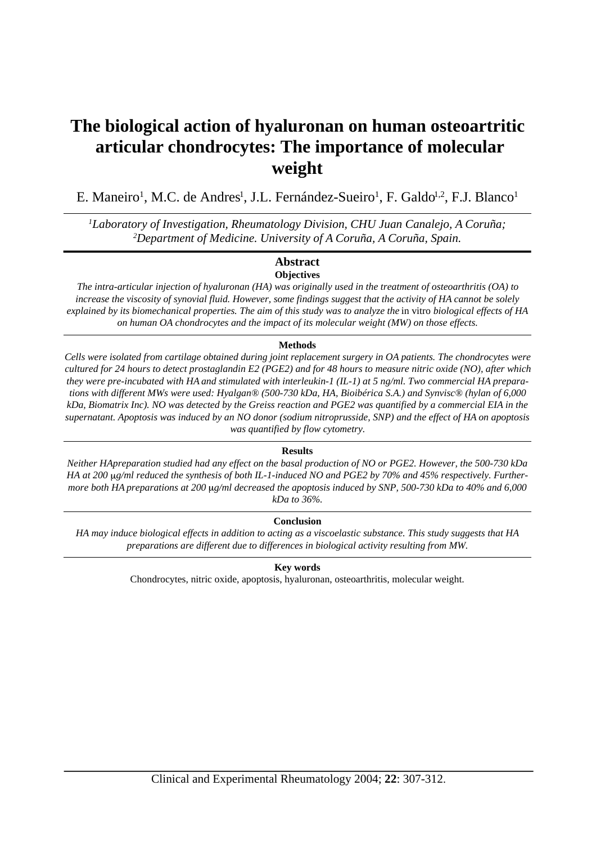# **The biological action of hyaluronan on human osteoartritic articular chondrocytes: The importance of molecular weight**

E. Maneiro<sup>1</sup>, M.C. de Andres<sup>1</sup>, J.L. Fernández-Sueiro<sup>1</sup>, F. Galdo<sup>1,2</sup>, F.J. Blanco<sup>1</sup>

*<sup>1</sup>Laboratory of Investigation, Rheumatology Division, CHU Juan Canalejo, A Coruña; <sup>2</sup>Department of Medicine. University of A Coruña, A Coruña, Spain.*

# **Abstract Objectives**

*The intra-articular injection of hyaluronan (HA) was originally used in the treatment of osteoarthritis (OA) to increase the viscosity of synovial fluid. However, some findings suggest that the activity of HA cannot be solely explained by its biomechanical properties. The aim of this study was to analyze the in vitro biological effects of HA on human OA chondrocytes and the impact of its molecular weight (MW) on those effects.*

# **Methods**

*Cells were isolated from cartilage obtained during joint replacement surgery in OA patients. The chondrocytes were cultured for 24 hours to detect prostaglandin E2 (PGE2) and for 48 hours to measure nitric oxide (NO), after which they were pre-incubated with HA and stimulated with interleukin-1 (IL-1) at 5 ng/ml. Two commercial HA preparations with different MWs were used: Hyalgan® (500-730 kDa, HA, Bioibérica S.A.) and Synvisc® (hylan of 6,000 kDa, Biomatrix Inc). NO was detected by the Greiss reaction and PGE2 was quantified by a commercial EIA in the supernatant. Apoptosis was induced by an NO donor (sodium nitroprusside, SNP) and the effect of HA on apoptosis was quantified by flow cytometry.*

# **Results**

*Neither HApreparation studied had any effect on the basal production of NO or PGE2. However, the 500-730 kDa* HA at 200 ug/ml reduced the synthesis of both IL-1-induced NO and PGE2 by 70% and 45% respectively. Further*more both HA preparations at 200 g/ml decreased the apoptosis induced by SNP, 500-730 kDa to 40% and 6,000 kDa to 36%.* 

# **Conclusion**

*HA may induce biological effects in addition to acting as a viscoelastic substance. This study suggests that HA preparations are different due to differences in biological activity resulting from MW.*

# **Key words**

Chondrocytes, nitric oxide, apoptosis, hyaluronan, osteoarthritis, molecular weight.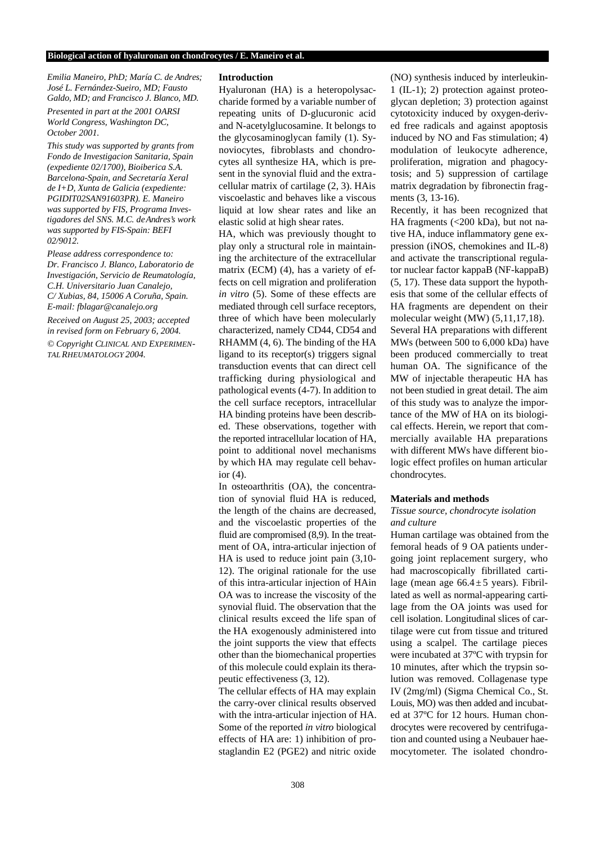*Emilia Maneiro, PhD; María C. de Andres; José L. Fernández-Sueiro, MD; Fausto Galdo, MD; and Francisco J. Blanco, MD. Presented in part at the 2001 OARSI* 

*World Congress, Washington DC, October 2001.* 

*This study was supported by grants from Fondo de Investigacion Sanitaria, Spain (expediente 02/1700), Bioiberica S.A. Barcelona-Spain, and Secretaría Xeral de I+D, Xunta de Galicia (expediente: PGIDIT02SAN91603PR). E. Maneiro was supported by FIS, Programa Investigadores del SNS. M.C. de A n d re s 's work was supported by FIS-Spain: BEFI 02/9012.*

*Please address correspondence to: Dr. Francisco J. Blanco, Laboratorio de Investigación, Servicio de Reumatología, C.H. Universitario Juan Canalejo, C/ Xubias, 84, 15006 A Coruña, Spain. E-mail: fblagar@canalejo.org*

*Received on August 25, 2003; accepted in revised form on February 6, 2004.*

*© Copyright CLINICAL AND EXPERIMEN-TALRHEUMATOLOGY 2004.*

#### **Introduction**

Hyaluronan (HA) is a heteropolysaccharide formed by a variable number of repeating units of D-glucuronic acid and N-acetylglucosamine. It belongs to the glycosaminoglycan family (1). Synoviocytes, fibroblasts and chondrocytes all synthesize HA, which is present in the synovial fluid and the extracellular matrix of cartilage (2, 3). HAis viscoelastic and behaves like a viscous liquid at low shear rates and like an elastic solid at high shear rates.

HA, which was previously thought to play only a structural role in maintaining the architecture of the extracellular matrix (ECM) (4), has a variety of effects on cell migration and proliferation *in vitro* (5). Some of these effects are mediated through cell surface receptors, three of which have been molecularly characterized, namely CD44, CD54 and RHAMM (4, 6). The binding of the HA ligand to its receptor(s) triggers signal transduction events that can direct cell trafficking during physiological and pathological events (4-7). In addition to the cell surface receptors, intracellular HA binding proteins have been described. These observations, together with the reported intracellular location of HA, point to additional novel mechanisms by which HA may regulate cell behavior (4).

In osteoarthritis (OA), the concentration of synovial fluid HA is reduced, the length of the chains are decreased, and the viscoelastic properties of the fluid are compromised (8,9). In the treatment of OA, intra-articular injection of HA is used to reduce joint pain (3,10- 12). The original rationale for the use of this intra-articular injection of HAin OA was to increase the viscosity of the synovial fluid. The observation that the clinical results exceed the life span of the HA exogenously administered into the joint supports the view that effects other than the biomechanical properties of this molecule could explain its therapeutic effectiveness (3, 12).

The cellular effects of HA may explain the carry-over clinical results observed with the intra-articular injection of HA. Some of the reported *in vitro* biological effects of HA are: 1) inhibition of prostaglandin E2 (PGE2) and nitric oxide

(NO) synthesis induced by interleukin-1 (IL-1); 2) protection against proteoglycan depletion; 3) protection against cytotoxicity induced by oxygen-derived free radicals and against apoptosis induced by NO and Fas stimulation; 4) modulation of leukocyte adherence, proliferation, migration and phagocytosis; and 5) suppression of cartilage matrix degradation by fibronectin fragments (3, 13-16).

Recently, it has been recognized that HA fragments (<200 kDa), but not native HA, induce inflammatory gene expression (iNOS, chemokines and IL-8) and activate the transcriptional regulator nuclear factor kappaB (NF-kappaB) (5, 17). These data support the hypothesis that some of the cellular effects of HA fragments are dependent on their molecular weight (MW) (5,11,17,18). Several HA preparations with different MWs (between 500 to 6,000 kDa) have been produced commercially to treat human OA. The significance of the MW of injectable therapeutic HA has not been studied in great detail. The aim of this study was to analyze the importance of the MW of HA on its biological effects. Herein, we report that commercially available HA preparations with different MWs have different biologic effect profiles on human articular chondrocytes.

#### **Materials and methods**

## *Tissue source, chondrocyte isolation and culture*

Human cartilage was obtained from the femoral heads of 9 OA patients undergoing joint replacement surgery, who had macroscopically fibrillated cartilage (mean age  $66.4 \pm 5$  years). Fibrillated as well as normal-appearing cartilage from the OA joints was used for cell isolation. Longitudinal slices of cartilage were cut from tissue and tritured using a scalpel. The cartilage pieces were incubated at  $37^{\circ}$ C with trypsin for 10 minutes, after which the trypsin solution was removed. Collagenase type IV (2mg/ml) (Sigma Chemical Co., St. Louis, MO) was then added and incubated at 37ºC for 12 hours. Human chondrocytes were recovered by centrifugation and counted using a Neubauer haemocytometer. The isolated chondro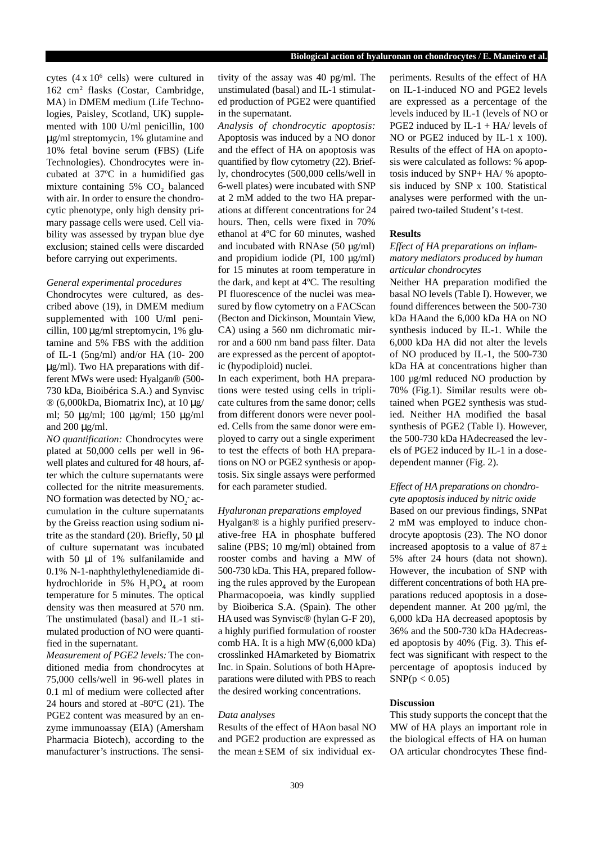cytes  $(4 \times 10^6 \text{ cells})$  were cultured in 162 cm<sup>2</sup> flasks (Costar, Cambridge, MA) in DMEM medium (Life Technologies, Paisley, Scotland, UK) supplemented with 100 U/ml penicillin, 100 μg/ml streptomycin, 1% glutamine and 10% fetal bovine serum (FBS) (Life Technologies). Chondrocytes were incubated at 37ºC in a humidified gas mixture containing 5% CO<sub>2</sub> balanced with air. In order to ensure the chondrocytic phenotype, only high density primary passage cells were used. Cell viability was assessed by trypan blue dye exclusion; stained cells were discarded before carrying out experiments.

## *General experimental procedures*

Chondrocytes were cultured, as described above (19), in DMEM medium supplemented with 100 U/ml penicillin, 100 μg/ml streptomycin, 1% glutamine and 5% FBS with the addition of IL-1 (5ng/ml) and/or HA (10- 200 μg/ml). Two HA preparations with different MWs were used: Hyalgan® (500- 730 kDa, Bioibérica S.A.) and Synvisc ® (6,000kDa, Biomatrix Inc), at 10 μg/ ml; 50 μg/ml; 100 μg/ml; 150 μg/ml and 200 μg/ml.

*NO quantification:* Chondrocytes were plated at 50,000 cells per well in 96 well plates and cultured for 48 hours, after which the culture supernatants were collected for the nitrite measurements. NO formation was detected by  $NO_2^-$  accumulation in the culture supernatants by the Greiss reaction using sodium nitrite as the standard  $(20)$ . Briefly, 50  $\mu$ l of culture supernatant was incubated with 50 μl of 1% sulfanilamide and 0.1% N-1-naphthylethylenediamide dihydrochloride in 5%  $H_3PO_4$  at room temperature for 5 minutes. The optical density was then measured at 570 nm. The unstimulated (basal) and IL-1 stimulated production of NO were quantified in the supernatant.

*Measurement of PGE2 levels:*The conditioned media from chondrocytes at 75,000 cells/well in 96-well plates in 0.1 ml of medium were collected after 24 hours and stored at -80ºC (21). The PGE2 content was measured by an enzyme immunoassay (EIA) (Amersham Pharmacia Biotech), according to the manufacturer's instructions. The sensi-

tivity of the assay was 40 pg/ml. The unstimulated (basal) and IL-1 stimulated production of PGE2 were quantified in the supernatant.

*Analysis of chondrocytic apoptosis:* Apoptosis was induced by a NO donor and the effect of HA on apoptosis was quantified by flow cytometry (22). Briefly, chondrocytes (500,000 cells/well in 6-well plates) were incubated with SNP at 2 mM added to the two HA preparations at different concentrations for 24 hours. Then, cells were fixed in 70% ethanol at 4ºC for 60 minutes, washed and incubated with RNAse (50 µg/ml) and propidium iodide (PI, 100 µg/ml) for 15 minutes at room temperature in the dark, and kept at 4ºC. The resulting PI fluorescence of the nuclei was measured by flow cytometry on a FACScan (Becton and Dickinson, Mountain View, CA) using a 560 nm dichromatic mirror and a 600 nm band pass filter. Data are expressed as the percent of apoptotic (hypodiploid) nuclei.

In each experiment, both HA preparations were tested using cells in triplicate cultures from the same donor; cells from different donors were never pooled. Cells from the same donor were employed to carry out a single experiment to test the effects of both HA preparations on NO or PGE2 synthesis or apoptosis. Six single assays were performed for each parameter studied.

## *Hyaluronan preparations employed*

Hyalgan® is a highly purified preservative-free HA in phosphate buffered saline (PBS; 10 mg/ml) obtained from rooster combs and having a MW of 500-730 kDa. This HA, prepared following the rules approved by the European Pharmacopoeia, was kindly supplied by Bioiberica S.A. (Spain). The other HA used was Synvisc® (hylan G-F 20), a highly purified formulation of rooster comb HA. It is a high MW(6,000 kDa) crosslinked HAmarketed by Biomatrix Inc. in Spain. Solutions of both HApreparations were diluted with PBS to reach the desired working concentrations.

#### *Data analyses*

Results of the effect of HAon basal NO and PGE2 production are expressed as the mean  $\pm$  SEM of six individual experiments. Results of the effect of HA on IL-1-induced NO and PGE2 levels are expressed as a percentage of the levels induced by IL-1 (levels of NO or PGE2 induced by IL-1 + HA/ levels of NO or PGE2 induced by IL-1 x 100). Results of the effect of HA on apoptosis were calculated as follows: % apoptosis induced by SNP+ HA/ % apoptosis induced by SNP x 100. Statistical analyses were performed with the unpaired two-tailed Student's t-test.

## **Results**

## *Effect of HA preparations on inflammatory mediators produced by human articular chondrocytes*

Neither HA preparation modified the basal NO levels (Table I). However, we found differences between the 500-730 kDa HAand the 6,000 kDa HA on NO synthesis induced by IL-1. While the 6,000 kDa HA did not alter the levels of NO produced by IL-1, the 500-730 kDa HA at concentrations higher than 100 µg/ml reduced NO production by 70% (Fig.1). Similar results were obtained when PGE2 synthesis was studied. Neither HA modified the basal synthesis of PGE2 (Table I). However, the 500-730 kDa HAdecreased the levels of PGE2 induced by IL-1 in a dosedependent manner (Fig. 2).

# Effect of HA preparations on chondro-

*cyte apoptosis induced by nitric oxide* Based on our previous findings, SNPat 2 mM was employed to induce chondrocyte apoptosis (23). The NO donor increased apoptosis to a value of  $87 \pm$ 5% after 24 hours (data not shown). However, the incubation of SNP with different concentrations of both HA preparations reduced apoptosis in a dosedependent manner. At 200 µg/ml, the 6,000 kDa HA decreased apoptosis by 36% and the 500-730 kDa HAdecreased apoptosis by 40% (Fig. 3). This effect was significant with respect to the percentage of apoptosis induced by  $SNP(p < 0.05)$ 

#### **Discussion**

This study supports the concept that the MW of HA plays an important role in the biological effects of HA on human OA articular chondrocytes These find-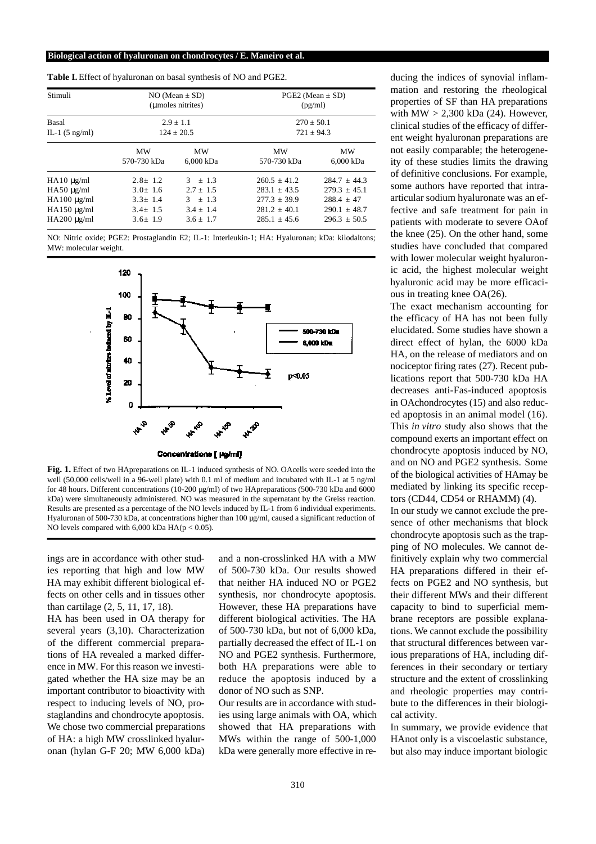| Stimuli                                                                                        | $NO (Mean \pm SD)$<br>(Limoles nitrites)<br>$2.9 \pm 1.1$<br>$124 + 20.5$         |                                                                       | $PGE2$ (Mean $\pm$ SD)<br>(pg/ml)<br>$270 \pm 50.1$<br>$721 \pm 94.3$                    |                                                                                          |
|------------------------------------------------------------------------------------------------|-----------------------------------------------------------------------------------|-----------------------------------------------------------------------|------------------------------------------------------------------------------------------|------------------------------------------------------------------------------------------|
| <b>Basal</b><br>IL-1 $(5 \text{ ng/ml})$                                                       |                                                                                   |                                                                       |                                                                                          |                                                                                          |
|                                                                                                | <b>MW</b><br>570-730 kDa                                                          | <b>MW</b><br>6.000 kDa                                                | <b>MW</b><br>570-730 kDa                                                                 | <b>MW</b><br>6,000 kDa                                                                   |
| $HA10 \mu g/ml$<br>$HA50 \mu g/ml$<br>$HA100 \mu g/ml$<br>$HA150 \mu g/ml$<br>$HA200 \mu g/ml$ | $2.8 \pm 1.2$<br>$3.0 \pm 1.6$<br>$3.3 \pm 1.4$<br>$3.4 \pm 1.5$<br>$3.6 \pm 1.9$ | $3 + 1.3$<br>$2.7 + 1.5$<br>$3 + 1.3$<br>$3.4 + 1.4$<br>$3.6 \pm 1.7$ | $260.5 + 41.2$<br>$283.1 + 43.5$<br>$277.3 \pm 39.9$<br>$281.2 + 40.1$<br>$285.1 + 45.6$ | $284.7 + 44.3$<br>$279.3 + 45.1$<br>$288.4 \pm 47$<br>$290.1 + 48.7$<br>$296.3 \pm 50.5$ |

**Table I.** Effect of hyaluronan on basal synthesis of NO and PGE2.

NO: Nitric oxide; PGE2: Prostaglandin E2; IL-1: Interleukin-1; HA: Hyaluronan; kDa: kilodaltons; MW: molecular weight.



**Fig. 1.** Effect of two HApreparations on IL-1 induced synthesis of NO. OAcells were seeded into the well (50,000 cells/well in a 96-well plate) with 0.1 ml of medium and incubated with IL-1 at 5 ng/ml for 48 hours. Different concentrations (10-200  $\mu$ g/ml) of two HApreparations (500-730 kDa and 6000 kDa) were simultaneously administered. NO was measured in the supernatant by the Greiss reaction. Results are presented as a percentage of the NO levels induced by IL-1 from 6 individual experiments. Hyaluronan of 500-730 kDa, at concentrations higher than 100  $\mu$ g/ml, caused a significant reduction of NO levels compared with  $6,000$  kDa HA( $p < 0.05$ ).

ings are in accordance with other studies reporting that high and low MW HA may exhibit different biological effects on other cells and in tissues other than cartilage (2, 5, 11, 17, 18).

HA has been used in OA therapy for several years (3,10). Characterization of the different commercial preparations of HA revealed a marked difference in MW. For this reason we investigated whether the HA size may be an important contributor to bioactivity with respect to inducing levels of NO, prostaglandins and chondrocyte apoptosis. We chose two commercial preparations of HA: a high MW crosslinked hyaluronan (hylan G-F 20; MW 6,000 kDa)

and a non-crosslinked HA with a MW of 500-730 kDa. Our results showed that neither HA induced NO or PGE2 synthesis, nor chondrocyte apoptosis. However, these HA preparations have different biological activities. The HA of 500-730 kDa, but not of 6,000 kDa, partially decreased the effect of IL-1 on NO and PGE2 synthesis. Furthermore, both HA preparations were able to reduce the apoptosis induced by a donor of NO such as SNP.

Our results are in accordance with studies using large animals with OA, which showed that HA preparations with MWs within the range of 500-1,000 kDa were generally more effective in reducing the indices of synovial inflammation and restoring the rheological properties of SF than HA preparations with  $MW > 2,300$  kDa (24). However, clinical studies of the efficacy of different weight hyaluronan preparations are not easily comparable; the heterogeneity of these studies limits the drawing of definitive conclusions. For example, some authors have reported that intraarticular sodium hyaluronate was an effective and safe treatment for pain in patients with moderate to severe OAof the knee (25). On the other hand, some studies have concluded that compared with lower molecular weight hyaluronic acid, the highest molecular weight hyaluronic acid may be more efficacious in treating knee OA(26).

The exact mechanism accounting for the efficacy of HA has not been fully elucidated. Some studies have shown a direct effect of hylan, the 6000 kDa HA, on the release of mediators and on nociceptor firing rates (27). Recent publications report that 500-730 kDa HA decreases anti-Fas-induced apoptosis in OAchondrocytes (15) and also reduced apoptosis in an animal model (16). This *in vitro* study also shows that the compound exerts an important effect on chondrocyte apoptosis induced by NO, and on NO and PGE2 synthesis. Some of the biological activities of HAmay be mediated by linking its specific receptors (CD44, CD54 or RHAMM) (4).

In our study we cannot exclude the presence of other mechanisms that block chondrocyte apoptosis such as the trapping of NO molecules. We cannot definitively explain why two commercial HA preparations differed in their effects on PGE2 and NO synthesis, but their different MWs and their different capacity to bind to superficial membrane receptors are possible explanations. We cannot exclude the possibility that structural differences between various preparations of HA, including differences in their secondary or tertiary structure and the extent of crosslinking and rheologic properties may contribute to the differences in their biological activity.

In summary, we provide evidence that HAnot only is a viscoelastic substance, but also may induce important biologic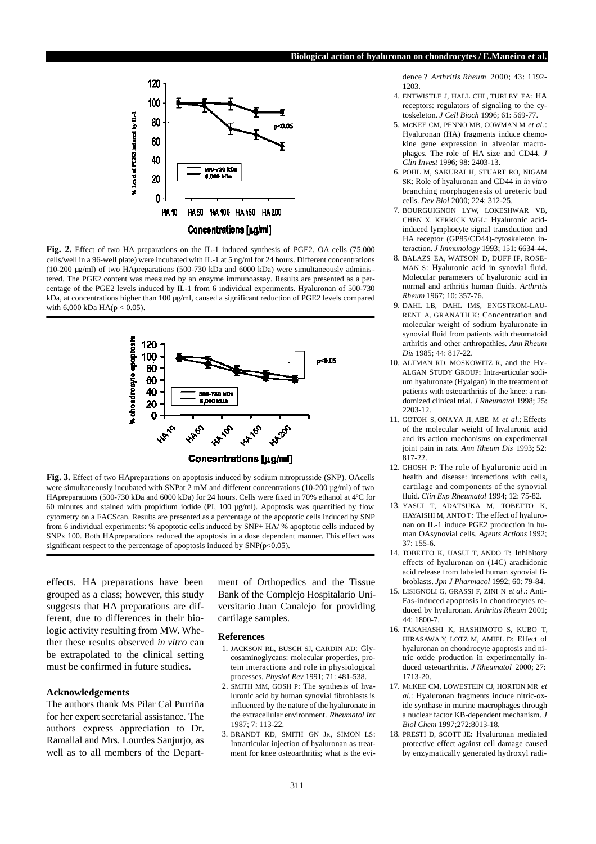#### **Biological action of hyaluronan on chondrocytes / E.Maneiro et al.**



Fig. 2. Effect of two HA preparations on the IL-1 induced synthesis of PGE2. OA cells (75,000) cells/well in a 96-well plate) were incubated with IL-1 at 5 ng/ml for 24 hours. Different concentrations (10-200 µg/ml) of two HApreparations (500-730 kDa and 6000 kDa) were simultaneously administered. The PGE2 content was measured by an enzyme immunoassay. Results are presented as a percentage of the PGE2 levels induced by IL-1 from 6 individual experiments. Hyaluronan of 500-730 kDa, at concentrations higher than 100 µg/ml, caused a significant reduction of PGE2 levels compared with  $6,000$  kDa HA( $p < 0.05$ ).



**Fig. 3.** Effect of two HApreparations on apoptosis induced by sodium nitroprusside (SNP). OAcells were simultaneously incubated with SNPat 2 mM and different concentrations (10-200 µg/ml) of two HApreparations (500-730 kDa and 6000 kDa) for 24 hours. Cells were fixed in 70% ethanol at 4ºC for 60 minutes and stained with propidium iodide (PI, 100 µg/ml). Apoptosis was quantified by flow cytometry on a FACScan. Results are presented as a percentage of the apoptotic cells induced by SNP from 6 individual experiments: % apoptotic cells induced by SNP+ HA/ % apoptotic cells induced by SNPx 100. Both HApreparations reduced the apoptosis in a dose dependent manner. This effect was significant respect to the percentage of apoptosis induced by  $SNP(p<0.05)$ .

e ffects. HA preparations have been grouped as a class; however, this study suggests that HA preparations are different, due to differences in their biologic activity resulting from MW. Whether these results observed *in vitro* can be extrapolated to the clinical setting must be confirmed in future studies.

#### **Acknowledgements**

The authors thank Ms Pilar Cal Purriña for her expert secretarial assistance. The authors express appreciation to Dr. Ramallal and Mrs. Lourdes Sanjurjo, as well as to all members of the Department of Orthopedics and the Tissue Bank of the Complejo Hospitalario Universitario Juan Canalejo for providing cartilage samples.

#### **References**

- 1. JACKSON RL, BUSCH SJ, CARDIN AD: Glycosaminoglycans: molecular properties, protein interactions and role in physiological processes. *Physiol Rev* 1991; 71: 481-538.
- 2. SMITH MM, GOSH P: The synthesis of hyaluronic acid by human synovial fibroblasts is influenced by the nature of the hyaluronate in the extracellular environment. *Rheumatol Int* 1987; 7: 113-22.
- 3. BRANDT KD, SMITH GN JR, SIMON LS: Intrarticular injection of hyaluronan as treatment for knee osteoarthritis; what is the evi-

dence ? *Arthritis Rheum* 2000; 43: 1192-1203.

- 4. ENTWISTLE J, HALL CHL, TURLEY EA: HA receptors: regulators of signaling to the cytoskeleton. *J Cell Bioch* 1996; 61: 569-77.
- 5. MCKEE CM, PENNO MB, COWMAN M *et al*.: Hyaluronan (HA) fragments induce chemokine gene expression in alveolar macrophages. The role of HA size and CD44. *J Clin Invest* 1996; 98: 2403-13.
- 6. POHL M, SAKURAI H, STUART RO, NIGAM SK: Role of hyaluronan and CD44 in *in vitro* branching morphogenesis of ureteric bud cells. *Dev Biol* 2000; 224: 312-25.
- 7. BOURGUIGNON LYW, LOKESHWAR VB, CHEN X, KERRICK WGL: Hyaluronic acidinduced lymphocyte signal transduction and HA receptor (GP85/CD44)-cytoskeleton interaction. *J Immunology* 1993; 151: 6634-44.
- 8. BALAZS EA, WATSON D, DUFF IF, ROSE-MAN S: Hyaluronic acid in synovial fluid. Molecular parameters of hyaluronic acid in normal and arthritis human fluids. *Arthritis Rheum* 1967; 10: 357-76.
- 9. DAHL LB, DAHL IMS, ENGSTROM-LAU-RENT A, GRANATH K: Concentration and molecular weight of sodium hyaluronate in synovial fluid from patients with rheumatoid arthritis and other arthropathies. *Ann Rheum Dis* 1985; 44: 817-22.
- 10. ALTMAN RD, MOSKOWITZ R, and the HY-ALGAN STUDY GROUP: Intra-articular sodium hyaluronate (Hyalgan) in the treatment of patients with osteoarthritis of the knee: a randomized clinical trial. *J Rheumatol* 1998; 25: 2203-12.
- 11. GOTOH S, ONAYA JI, ABE M *et al*.: Effects of the molecular weight of hyaluronic acid and its action mechanisms on experimental joint pain in rats. *Ann Rheum Dis* 1993; 52: 817-22.
- 12. GHOSH P: The role of hyaluronic acid in health and disease: interactions with cells, cartilage and components of the synovial fluid. *Clin Exp Rheumatol* 1994; 12: 75-82.
- 13. YASUI T, ADATSUKA M, TOBETTO K, HAYAISHI M, ANTO T: The effect of hyaluronan on IL-1 induce PGE2 production in human OAsynovial cells. *Agents Actions* 1992; 37: 155-6.
- 14. TOBETTO K, UASUI T, ANDO T: Inhibitory effects of hyaluronan on (14C) arachidonic acid release from labeled human synovial fibroblasts. *Jpn J Pharmacol* 1992; 60: 79-84.
- 15. LISIGNOLI G, GRASSI F, ZINI N *et al*.: Anti-Fas-induced apoptosis in chondrocytes reduced by hyaluronan. *Arthritis Rheum* 2001; 44: 1800-7.
- 16. TAKAHASHI K, HASHIMOTO S, KUBO T, HIRASAWA Y, LOTZ M, AMIEL D: Effect of hyaluronan on chondrocyte apoptosis and nitric oxide production in experimentally induced osteoarthritis. *J Rheumatol* 2000; 27: 1713-20.
- 17. MCKEE CM, LOWESTEIN CJ, HORTON MR *et al*.: Hyaluronan fragments induce nitric-oxide synthase in murine macrophages through a nuclear factor KB-dependent mechanism. *J Biol Chem* 1997;272:8013-18.
- 18. PRESTI D, SCOTT JE: Hyaluronan mediated protective effect against cell damage caused by enzymatically generated hydroxyl radi-